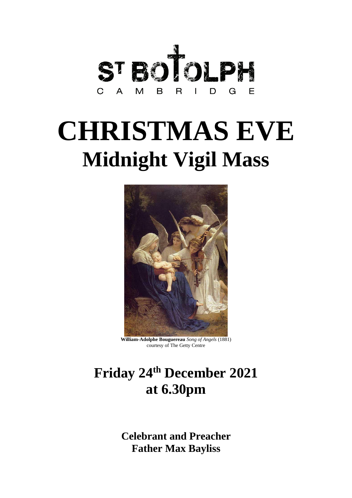

# **CHRISTMAS EVE Midnight Vigil Mass**



**William-Adolphe Bouguereau** *Song of Angels* (1881) courtesy of The Getty Centre

# **Friday 24 th December 2021 at 6.30pm**

**Celebrant and Preacher Father Max Bayliss**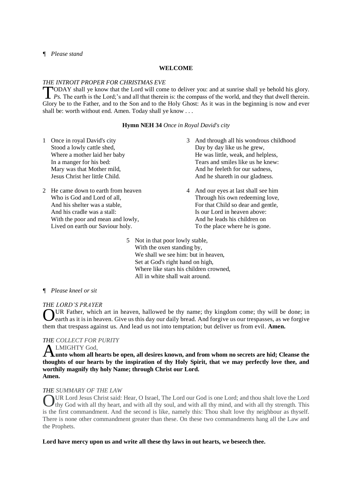# *¶ Please stand*

#### **WELCOME**

#### *THE INTROIT PROPER FOR CHRISTMAS EVE*

ODAY shall ye know that the Lord will come to deliver you: and at sunrise shall ye behold his glory. **PODAY** shall ye know that the Lord will come to deliver you: and at sunrise shall ye behold his glory.<br> *Ps.* The earth is the Lord;'s and all that therein is: the compass of the world, and they that dwell therein. Glory be to the Father, and to the Son and to the Holy Ghost: As it was in the beginning is now and ever shall be: worth without end. Amen. Today shall ye know . . .

#### **Hymn NEH 34** *Once in Royal David's city*

- 1 Once in royal David's city Stood a lowly cattle shed, Where a mother laid her baby In a manger for his bed: Mary was that Mother mild, Jesus Christ her little Child.
- 2 He came down to earth from heaven Who is God and Lord of all, And his shelter was a stable, And his cradle was a stall: With the poor and mean and lowly, Lived on earth our Saviour holy.
- 3 And through all his wondrous childhood Day by day like us he grew, He was little, weak, and helpless, Tears and smiles like us he knew: And he feeleth for our sadness, And he shareth in our gladness.
- 4 And our eyes at last shall see him Through his own redeeming love, For that Child so dear and gentle, Is our Lord in heaven above: And he leads his children on To the place where he is gone.
- 5 Not in that poor lowly stable, With the oxen standing by, We shall we see him: but in heaven, Set at God's right hand on high, Where like stars his children crowned, All in white shall wait around.

# *¶ Please kneel or sit*

# *THE LORD'S PRAYER*

OUR Father, which art in heaven, hallowed be thy name; thy kingdom come; thy will be done; in earth as it is in heaven. Give us this day our daily bread. And forgive us our trespasses, as we forgive earth as it is in heaven. Give us this day our daily bread. And forgive us our trespasses, as we forgive them that trespass against us. And lead us not into temptation; but deliver us from evil. **Amen.**

# *THE COLLECT FOR PURITY*

# LMIGHTY God,

**unto whom all hearts be open, all desires known, and from whom no secrets are hid; Cleanse the**  A **thoughts of our hearts by the inspiration of thy Holy Spirit, that we may perfectly love thee, and worthily magnify thy holy Name; through Christ our Lord. Amen.** 

# *THE SUMMARY OF THE LAW*

UR Lord Jesus Christ said: Hear, O Israel, The Lord our God is one Lord; and thou shalt love the Lord thy God with all thy heart, and with all thy soul, and with all thy mind, and with all thy strength. This is the first commandment. And the second is like, namely this: Thou shalt love thy neighbour as thyself. There is none other commandment greater than these. On these two commandments hang all the Law and the Prophets. O

#### **Lord have mercy upon us and write all these thy laws in out hearts, we beseech thee.**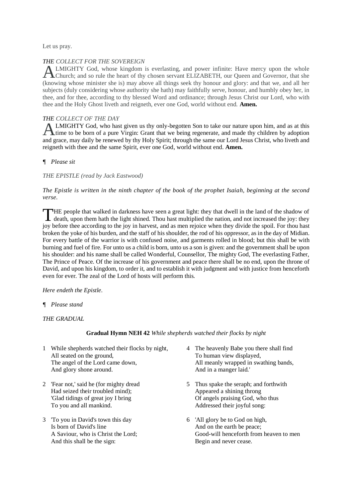Let us pray.

# *THE COLLECT FOR THE SOVEREIGN*

LMIGHTY God, whose kingdom is everlasting, and power infinite: Have mercy upon the whole ALMIGHTY God, whose kingdom is everlasting, and power infinite: Have mercy upon the whole<br>Church; and so rule the heart of thy chosen servant ELIZABETH, our Queen and Governor, that she (knowing whose minister she is) may above all things seek thy honour and glory: and that we, and all her subjects (duly considering whose authority she hath) may faithfully serve, honour, and humbly obey her, in thee, and for thee, according to thy blessed Word and ordinance; through Jesus Christ our Lord, who with thee and the Holy Ghost liveth and reigneth, ever one God, world without end. **Amen.**

# *THE COLLECT OF THE DAY*

LMIGHTY God, who hast given us thy only-begotten Son to take our nature upon him, and as at this ALMIGHTY God, who hast given us thy only-begotten Son to take our nature upon him, and as at this time to be born of a pure Virgin: Grant that we being regenerate, and made thy children by adoption and grace, may daily be renewed by thy Holy Spirit; through the same our Lord Jesus Christ, who liveth and reigneth with thee and the same Spirit, ever one God, world without end. **Amen.**

# *¶ Please sit*

*THE EPISTLE (read by Jack Eastwood)*

# *The Epistle is written in the ninth chapter of the book of the prophet Isaiah, beginning at the second verse.*

HE people that walked in darkness have seen a great light: they that dwell in the land of the shadow of THE people that walked in darkness have seen a great light: they that dwell in the land of the shadow of death, upon them hath the light shined. Thou hast multiplied the nation, and not increased the joy: they joy before thee according to the joy in harvest, and as men rejoice when they divide the spoil. For thou hast broken the yoke of his burden, and the staff of his shoulder, the rod of his oppressor, as in the day of Midian. For every battle of the warrior is with confused noise, and garments rolled in blood; but this shall be with burning and fuel of fire. For unto us a child is born, unto us a son is given: and the government shall be upon his shoulder: and his name shall be called Wonderful, Counsellor, The mighty God, The everlasting Father, The Prince of Peace. Of the increase of his government and peace there shall be no end, upon the throne of David, and upon his kingdom, to order it, and to establish it with judgment and with justice from henceforth even for ever. The zeal of the Lord of hosts will perform this.

# *Here endeth the Epistle.*

*¶ Please stand*

*THE GRADUAL*

# **Gradual Hymn NEH 42** *While shepherds watched their flocks by night*

- 1 While shepherds watched their flocks by night, All seated on the ground, The angel of the Lord came down, And glory shone around.
- 2 'Fear not,' said he (for mighty dread Had seized their troubled mind); 'Glad tidings of great joy I bring To you and all mankind.
- 3 'To you in David's town this day Is born of David's line A Saviour, who is Christ the Lord; And this shall be the sign:
- 4 The heavenly Babe you there shall find To human view displayed, All meanly wrapped in swathing bands, And in a manger laid.'
- 5 Thus spake the seraph; and forthwith Appeared a shining throng Of angels praising God, who thus Addressed their joyful song:
- 6 'All glory be to God on high, And on the earth be peace; Good-will henceforth from heaven to men Begin and never cease.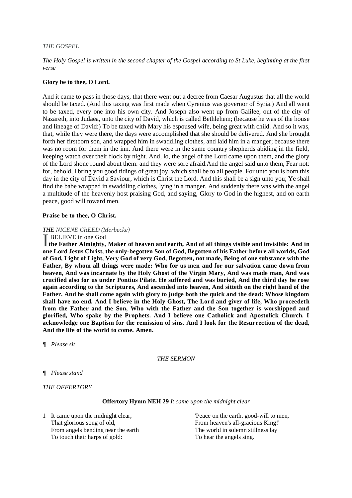#### *THE GOSPEL*

*The Holy Gospel is written in the second chapter of the Gospel according to St Luke, beginning at the first verse*

#### **Glory be to thee, O Lord.**

And it came to pass in those days, that there went out a decree from Caesar Augustus that all the world should be taxed. (And this taxing was first made when Cyrenius was governor of Syria.) And all went to be taxed, every one into his own city. And Joseph also went up from Galilee, out of the city of Nazareth, into Judaea, unto the city of David, which is called Bethlehem; (because he was of the house and lineage of David:) To be taxed with Mary his espoused wife, being great with child. And so it was, that, while they were there, the days were accomplished that she should be delivered. And she brought forth her firstborn son, and wrapped him in swaddling clothes, and laid him in a manger; because there was no room for them in the inn. And there were in the same country shepherds abiding in the field, keeping watch over their flock by night. And, lo, the angel of the Lord came upon them, and the glory of the Lord shone round about them: and they were sore afraid.And the angel said unto them, Fear not: for, behold, I bring you good tidings of great joy, which shall be to all people. For unto you is born this day in the city of David a Saviour, which is Christ the Lord. And this shall be a sign unto you; Ye shall find the babe wrapped in swaddling clothes, lying in a manger. And suddenly there was with the angel a multitude of the heavenly host praising God, and saying, Glory to God in the highest, and on earth peace, good will toward men.

#### **Praise be to thee, O Christ.**

#### *THE NICENE CREED (Merbecke)*

BELIEVE in one God<br>
the Father Almighty, **the Father Almighty, Maker of heaven and earth, And of all things visible and invisible: And in one Lord Jesus Christ, the only-begotten Son of God, Begotten of his Father before all worlds, God of God, Light of Light, Very God of very God, Begotten, not made, Being of one substance with the Father, By whom all things were made: Who for us men and for our salvation came down from heaven, And was incarnate by the Holy Ghost of the Virgin Mary, And was made man, And was crucified also for us under Pontius Pilate. He suffered and was buried, And the third day he rose again according to the Scriptures, And ascended into heaven, And sitteth on the right hand of the Father. And he shall come again with glory to judge both the quick and the dead: Whose kingdom shall have no end. And I believe in the Holy Ghost, The Lord and giver of life, Who proceedeth from the Father and the Son, Who with the Father and the Son together is worshipped and glorified, Who spake by the Prophets. And I believe one Catholick and Apostolick Church. I acknowledge one Baptism for the remission of sins. And I look for the Resurrection of the dead, And the life of the world to come. Amen.**

*¶ Please sit*

# *THE SERMON*

*¶ Please stand*

*THE OFFERTORY*

#### **Offertory Hymn NEH 29** *It came upon the midnight clear*

1 It came upon the midnight clear, That glorious song of old, From angels bending near the earth To touch their harps of gold:

'Peace on the earth, good-will to men, From heaven's all-gracious King!' The world in solemn stillness lay To hear the angels sing.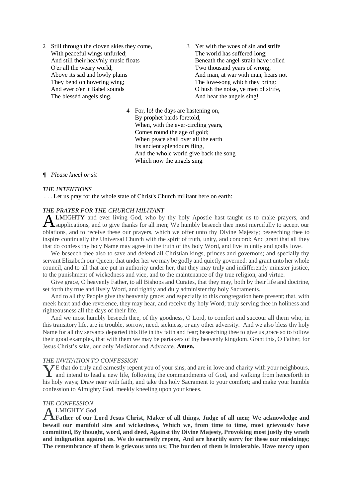- 2 Still through the cloven skies they come, With peaceful wings unfurled; And still their heav'nly music floats O'er all the weary world; Above its sad and lowly plains They bend on hovering wing; And ever o'er it Babel sounds The blessèd angels sing.
- 3 Yet with the woes of sin and strife The world has suffered long; Beneath the angel-strain have rolled Two thousand years of wrong; And man, at war with man, hears not The love-song which they bring: O hush the noise, ye men of strife, And hear the angels sing!
- 4 For, lo! the days are hastening on, By prophet bards foretold, When, with the ever-circling years, Comes round the age of gold; When peace shall over all the earth Its ancient splendours fling, And the whole world give back the song Which now the angels sing.

# *¶ Please kneel or sit*

#### *THE INTENTIONS*

. . . Let us pray for the whole state of Christ's Church militant here on earth:

#### *THE PRAYER FOR THE CHURCH MILITANT*

LMIGHTY and ever living God, who by thy holy Apostle hast taught us to make prayers, and ALMIGHTY and ever living God, who by thy holy Apostle hast taught us to make prayers, and supplications, and to give thanks for all men; We humbly beseech thee most mercifully to accept our oblations, and to receive these our prayers, which we offer unto thy Divine Majesty; beseeching thee to inspire continually the Universal Church with the spirit of truth, unity, and concord: And grant that all they that do confess thy holy Name may agree in the truth of thy holy Word, and live in unity and godly love.

We beseech thee also to save and defend all Christian kings, princes and governors; and specially thy servant Elizabeth our Queen; that under her we may be godly and quietly governed: and grant unto her whole council, and to all that are put in authority under her, that they may truly and indifferently minister justice, to the punishment of wickedness and vice, and to the maintenance of thy true religion, and virtue.

Give grace, O heavenly Father, to all Bishops and Curates, that they may, both by their life and doctrine, set forth thy true and lively Word, and rightly and duly administer thy holy Sacraments.

And to all thy People give thy heavenly grace; and especially to this congregation here present; that, with meek heart and due reverence, they may hear, and receive thy holy Word; truly serving thee in holiness and righteousness all the days of their life.

And we most humbly beseech thee, of thy goodness, O Lord, to comfort and succour all them who, in this transitory life, are in trouble, sorrow, need, sickness, or any other adversity. And we also bless thy holy Name for all thy servants departed this life in thy faith and fear; beseeching thee to give us grace so to follow their good examples, that with them we may be partakers of thy heavenly kingdom. Grant this, O Father, for Jesus Christ's sake, our only Mediator and Advocate. **Amen.** 

#### *THE INVITATION TO CONFESSION*

E that do truly and earnestly repent you of your sins, and are in love and charity with your neighbours, The that do truly and earnestly repent you of your sins, and are in love and charity with your neighbours, and intend to lead a new life, following the commandments of God, and walking from henceforth in his holy ways; Draw near with faith, and take this holy Sacrament to your comfort; and make your humble confession to Almighty God, meekly kneeling upon your knees.

# *THE CONFESSION*

# LMIGHTY God,

**Father of our Lord Jesus Christ, Maker of all things, Judge of all men; We acknowledge and bewail our manifold sins and wickedness, Which we, from time to time, most grievously have committed, By thought, word, and deed, Against thy Divine Majesty, Provoking most justly thy wrath and indignation against us. We do earnestly repent, And are heartily sorry for these our misdoings; The remembrance of them is grievous unto us; The burden of them is intolerable. Have mercy upon**  A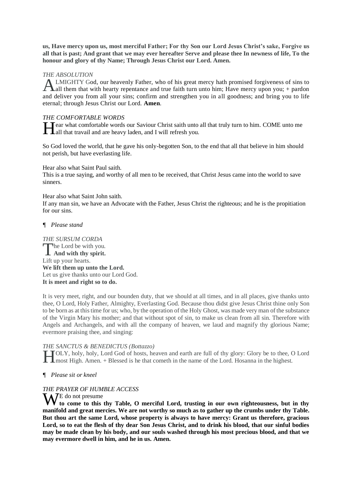**us, Have mercy upon us, most merciful Father; For thy Son our Lord Jesus Christ's sake, Forgive us all that is past; And grant that we may ever hereafter Serve and please thee In newness of life, To the honour and glory of thy Name; Through Jesus Christ our Lord. Amen.** 

# *THE ABSOLUTION*

LMIGHTY God, our heavenly Father, who of his great mercy hath promised forgiveness of sins to ALMIGHTY God, our heavenly Father, who of his great mercy hath promised forgiveness of sins to all them that with hearty repentance and true faith turn unto him; Have mercy upon you; + pardon and deliver you from all your sins; confirm and strengthen you in all goodness; and bring you to life eternal; through Jesus Christ our Lord. **Amen**.

# *THE COMFORTABLE WORDS*

ear what comfortable words our Saviour Christ saith unto all that truly turn to him. COME unto me all that travail and are heavy laden, and I will refresh you. all that travail and are heavy laden, and I will refresh you.

So God loved the world, that he gave his only-begotten Son, to the end that all that believe in him should not perish, but have everlasting life.

Hear also what Saint Paul saith.

This is a true saying, and worthy of all men to be received, that Christ Jesus came into the world to save sinners.

# Hear also what Saint John saith.

If any man sin, we have an Advocate with the Father, Jesus Christ the righteous; and he is the propitiation for our sins.

# *¶ Please stand*

*THE SURSUM CORDA* he Lord be with you. The Lord be with you. Lift up your hearts. **We lift them up unto the Lord.** Let us give thanks unto our Lord God. **It is meet and right so to do.** 

It is very meet, right, and our bounden duty, that we should at all times, and in all places, give thanks unto thee, O Lord, Holy Father, Almighty, Everlasting God. Because thou didst give Jesus Christ thine only Son to be born as at this time for us; who, by the operation of the Holy Ghost, was made very man of the substance of the Virgin Mary his mother; and that without spot of sin, to make us clean from all sin. Therefore with Angels and Archangels, and with all the company of heaven, we laud and magnify thy glorious Name; evermore praising thee, and singing:

# *THE SANCTUS & BENEDICTUS (Bottazzo)*

OLY, holy, holy, Lord God of hosts, heaven and earth are full of thy glory: Glory be to thee, O Lord **THE HIGHT HIGHT COLY**, holy, holy, Lord God of hosts, heaven and earth are full of thy glory: Glory be to thee, C<br> **H** most High. Amen. + Blessed is he that cometh in the name of the Lord. Hosanna in the highest.

# *¶ Please sit or kneel*

# *THE PRAYER OF HUMBLE ACCESS*

W<sup>E do not presume</sup> **to come to this thy Table, O merciful Lord, trusting in our own righteousness, but in thy manifold and great mercies. We are not worthy so much as to gather up the crumbs under thy Table. But thou art the same Lord, whose property is always to have mercy: Grant us therefore, gracious Lord, so to eat the flesh of thy dear Son Jesus Christ, and to drink his blood, that our sinful bodies may be made clean by his body, and our souls washed through his most precious blood, and that we may evermore dwell in him, and he in us. Amen.**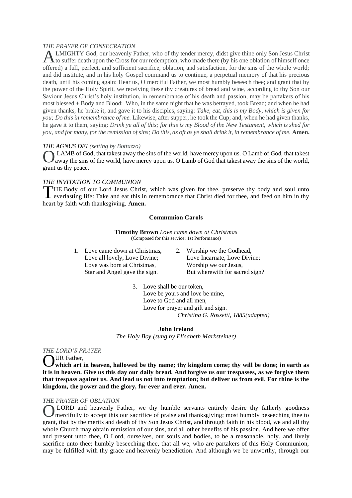# *THE PRAYER OF CONSECRATION*

LMIGHTY God, our heavenly Father, who of thy tender mercy, didst give thine only Son Jesus Christ to suffer death upon the Cross for our redemption; who made there (by his one oblation of himself once offered) a full, perfect, and sufficient sacrifice, oblation, and satisfaction, for the sins of the whole world; and did institute, and in his holy Gospel command us to continue, a perpetual memory of that his precious death, until his coming again: Hear us, O merciful Father, we most humbly beseech thee; and grant that by the power of the Holy Spirit, we receiving these thy creatures of bread and wine, according to thy Son our Saviour Jesus Christ's holy institution, in remembrance of his death and passion, may be partakers of his most blessed + Body and Blood: Who, in the same night that he was betrayed, took Bread; and when he had given thanks, he brake it, and gave it to his disciples, saying: *Take, eat, this is my Body, which is given for you; Do this in remembrance of me.* Likewise, after supper, he took the Cup; and, when he had given thanks, he gave it to them, saying: *Drink ye all of this; for this is my Blood of the New Testament, which is shed for you, and for many, for the remission of sins; Do this, as oft as ye shall drink it, in remembrance of me.* **Amen.** A

# *THE AGNUS DEI (setting by Bottazzo)*

LAMB of God, that takest away the sins of the world, have mercy upon us. O Lamb of God, that takest away the sins of the world, have mercy upon us. O Lamb of God that takest away the sins of the world, grant us thy peace. O

#### *THE INVITATION TO COMMUNION*

HE Body of our Lord Jesus Christ, which was given for thee, preserve thy body and soul unto THE Body of our Lord Jesus Christ, which was given for thee, preserve thy body and soul unto<br>
everlasting life: Take and eat this in remembrance that Christ died for thee, and feed on him in thy heart by faith with thanksgiving. **Amen.**

#### **Communion Carols**

**Timothy Brown** *Love came down at Christmas* (Composed for this service: 1st Performance)

- 1. Love came down at Christmas, Love all lovely, Love Divine; Love was born at Christmas, Star and Angel gave the sign.
- 2. Worship we the Godhead, Love Incarnate, Love Divine; Worship we our Jesus, But wherewith for sacred sign?

3. Love shall be our token, Love be yours and love be mine, Love to God and all men, Love for prayer and gift and sign.  *Christina G. Rossetti, 1885(adapted)*

#### **John Ireland**

*The Holy Boy (sung by Elisabeth Marksteiner)*

#### *THE LORD'S PRAYER*

UR Father,

**which art in heaven, hallowed be thy name; thy kingdom come; thy will be done; in earth as it is in heaven. Give us this day our daily bread. And forgive us our trespasses, as we forgive them that trespass against us. And lead us not into temptation; but deliver us from evil. For thine is the kingdom, the power and the glory, for ever and ever. Amen.** O

#### *THE PRAYER OF OBLATION*

LORD and heavenly Father, we thy humble servants entirely desire thy fatherly goodness mercifully to accept this our sacrifice of praise and thanksgiving; most humbly beseeching thee to grant, that by the merits and death of thy Son Jesus Christ, and through faith in his blood, we and all thy whole Church may obtain remission of our sins, and all other benefits of his passion. And here we offer and present unto thee, O Lord, ourselves, our souls and bodies, to be a reasonable, holy, and lively sacrifice unto thee; humbly beseeching thee, that all we, who are partakers of this Holy Communion, may be fulfilled with thy grace and heavenly benediction. And although we be unworthy, through our O